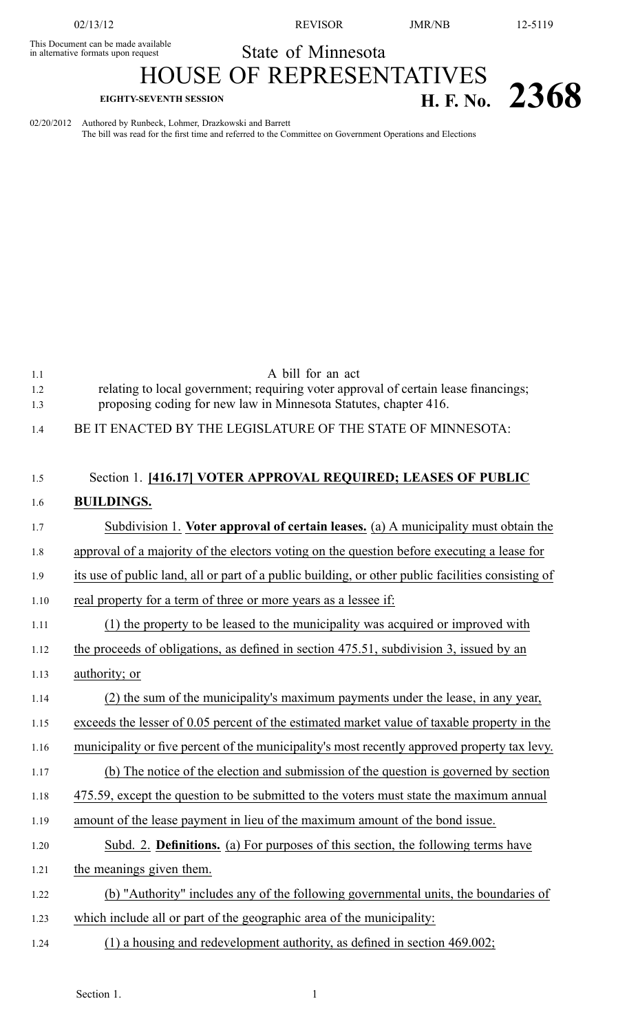This Document can be made available

02/13/12 REVISOR JMR/NB 12-5119

This Document can be made available<br>in alternative formats upon request State of Minnesota

## HOUSE OF REPRESENTATIVES

## **EIGHTY-SEVENTH SESSION H. F. No. 2368**

02/20/2012 Authored by Runbeck, Lohmer, Drazkowski and Barrett The bill was read for the first time and referred to the Committee on Government Operations and Elections

1.1 A bill for an act 1.2 relating to local government; requiring voter approval of certain lease financings; 1.3 proposing coding for new law in Minnesota Statutes, chapter 416. 1.4 BE IT ENACTED BY THE LEGISLATURE OF THE STATE OF MINNESOTA:

## 1.5 Section 1. **[416.17] VOTER APPROVAL REQUIRED; LEASES OF PUBLIC** 1.6 **BUILDINGS.**

| 1.7  | Subdivision 1. Voter approval of certain leases. (a) A municipality must obtain the                |
|------|----------------------------------------------------------------------------------------------------|
| 1.8  | approval of a majority of the electors voting on the question before executing a lease for         |
| 1.9  | its use of public land, all or part of a public building, or other public facilities consisting of |
| 1.10 | real property for a term of three or more years as a lessee if:                                    |
| 1.11 | (1) the property to be leased to the municipality was acquired or improved with                    |
| 1.12 | the proceeds of obligations, as defined in section 475.51, subdivision 3, issued by an             |
| 1.13 | authority; or                                                                                      |
| 1.14 | (2) the sum of the municipality's maximum payments under the lease, in any year,                   |
| 1.15 | exceeds the lesser of 0.05 percent of the estimated market value of taxable property in the        |
| 1.16 | municipality or five percent of the municipality's most recently approved property tax levy.       |
| 1.17 | (b) The notice of the election and submission of the question is governed by section               |
| 1.18 | 475.59, except the question to be submitted to the voters must state the maximum annual            |
| 1.19 | amount of the lease payment in lieu of the maximum amount of the bond issue.                       |
| 1.20 | Subd. 2. Definitions. (a) For purposes of this section, the following terms have                   |
| 1.21 | the meanings given them.                                                                           |
| 1.22 | (b) "Authority" includes any of the following governmental units, the boundaries of                |
| 1.23 | which include all or part of the geographic area of the municipality:                              |
| 1.24 | $(1)$ a housing and redevelopment authority, as defined in section 469.002;                        |